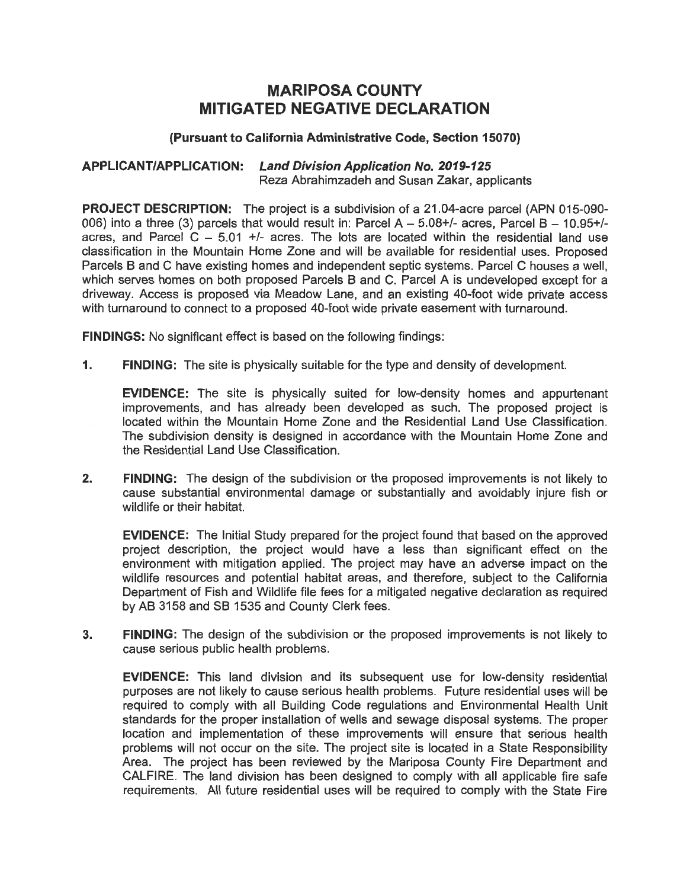# **MARIPOSA COUNTY MITIGATED NEGATIVE** DECLARATION

# **(Pursuant to California Administrative Code, Section 15070)**

#### **APPLICANTIAPPLICATION: Land Division Application No.** 2019-125 **Reza Abrahimzadeh and Susan Zakar, applicants**

**PROJECT DESCRIPTION: The project is a subdivision of a 21 .04—acre parcel (APN** 015-090- 006) **into a three (3) parcels that would result in: Parcel** A *—* **5.08+/— acres, Parcel** B **— 10.95+/ acres, and Parcel C —** 5.01 **+/— acres. The lots are located within the residential land use classification in the Mountain Home Zone and will be available for residential uses. Proposed Parcels** B **and C have existing homes and independent septic systems. Parcel C houses a well, which serves homes on both proposed Parcels** B **and C. Parcel** A **is undeveloped except for <sup>a</sup> driveway. Access is proposed via Meadow Lane, and an existing 40-foot wide private access with turnaround to connect to a proposed 40-foot wide private easement with turnaround.** 

**FINDINGS: No significant effect is based on the following findings:** 

**1.** FINDING: The site is physically suitable for the type and density of development.

**EVIDENCE: The site is physically suited for low—density homes and appurtenant improvements, and has already been developed as such. The proposed project is located within the Mountain Home Zone and the Residential Land Use Classification. The subdivision density is designed in accordance with the Mountain Home Zone and the Residential Land Use Classification.** 

 $2.$ **FINDING: The design of the subdivision or the proposed improvements is not likely to cause substantial environmental damage or substantially and avoidably injure fish or wildlife or their habitat.** 

**EVIDENCE: The Initial Study prepared for the project found that based on the approved project description, the project would have a less than significant effect on the environment with mitigation applied. The project may have an adverse impact on the wildlife resources and potential habitat areas, and therefore, subject to the California Department of Fish and Wildlife file fees for a mitigated negative declaration as required by AB** 3158 **and SB** 1535 **and County Clerk fees.** 

 $3.$ **FINDING: The design of the subdivision or the proposed improvements is not likely to cause serious public health problems.** 

**EVIDENCE: This land division and its subsequent use for low-density residential purposes are not likely to cause serious health problems. Future residential uses will be required to comply with all Building Code regulations and Environmental Health Unit standards for the proper installation of wells and sewage disposal systems. The proper location and implementation of these improvements will ensure that serious health problems will not occur on the site. The project site is located in a State Responsibility Area. The project has been reviewed by the Mariposa County Fire Department and CALFIRE. The land division has been designed to comply with all applicable fire safe requirements. All future residential uses will be required to comply with the State Fire**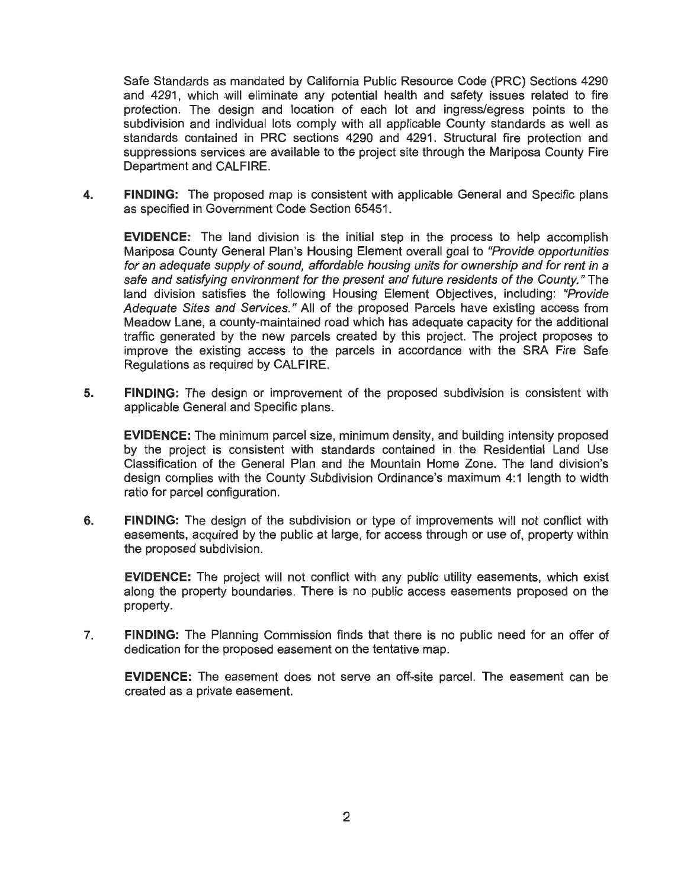Safe Standards as **mandated** by California **Public** Resource **Code** (PRC) Sections 4290 and 4291, which will eliminate any potential health and safety issues related to fire protection. The design and location of each lot and ingress/egress points to the subdivision and individual lots comply with all applicable County standards as well as standards contained in PRC sections 4290 and 4291. Structural fire protection and suppressions services are available to the project site through the Mariposa County Fire Department and CALFIRE.

FINDING: The proposed map is consistent with applicable General and Specific plans 4. as specified in Government Code Section 65451.

EVIDENCE: The land division is the initial step in the process to help accomplish Mariposa County General Plan's Housing Element overall goal to "Provide opportunities for an adequate supply of sound, affordable housing units for ownership and for rent in a safe and satisfying environment for the present and future residents of the County." The land division satisfies the following Housing Element Objectives, including: "Provide Adequate Sites and Services." All of the proposed Parcels have existing access from Meadow Lane, a county-maintained road which has adequate capacity for the additional traffic generated by the new parcels created by this project. The project proposes to improve the existing access to the parcels in accordance with the SRA Fire Safe Regulations as required by CALFIRE.

5. FINDING: The design or improvement of the proposed subdivision is consistent with applicable General and Specific plans.

EVIDENCE: The minimum parcel size, minimum density, and building intensity proposed by the project is consistent with standards contained in the Residential Land Use Classification of the General Plan and the Mountain Home Zone. The land division's design complies with the County Subdivision Ordinance's maximum 4:1 length to width ratio for parcel configuration.

6. FINDING: The design of the subdivision or type of improvements will not conflict with easements, acquired by the public at large, for access through or use of, property within the proposed subdivision.

EVIDENCE: The project will not conflict with any public utility easements, which exist along the property boundaries. There is no public access easements proposed on the property.

7. FINDING: The Planning Commission finds that there is no public need for an offer of dedication for the proposed easement on the tentative map.

EVIDENCE: The easement does not serve an off-site parcel. The easement can be created as a private easement.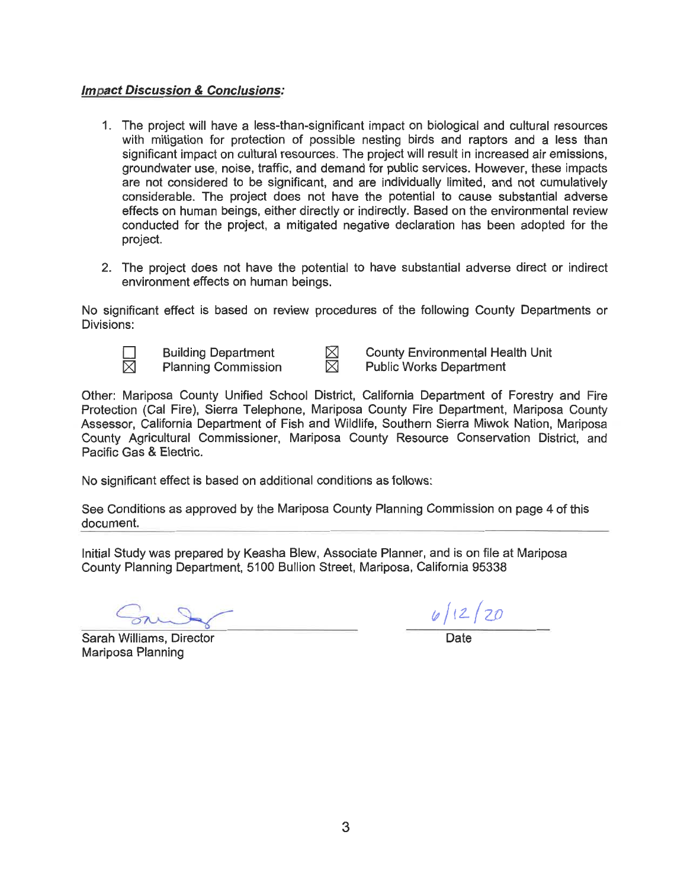# *Imgact Discussion & Conclusions:*

- *1. The* project *will have a less-than-significant impact on biological and* cultural *resources with mitigation for protection of possible nesting birds and raptors and a less than significant impact on cultural resources. The project will result in increased air emissions, groundwater use, noise, traffic, and demand for public services. However, these impacts are not considered to be significant, and are individually limited, and not cumulatively considerable. The project does not have the potential to cause substantial adverse effects on human beings, either directly or indirectly. Based on the environmental review conducted for the project, a mitigated negative declaration has been adopted for the project.*
- *2. The project does not have the potential to have substantial adverse direct or indirect environment effects on human beings.*

*No significant effect is based on review procedures of the following County Departments or Divisions:* 



*El Building Department 514 County Environmental Health Unit >14 Planning Commission 53 Public Works Department* 

*Other: Mariposa County Unified School District, California Department of Forestry and Fire Protection (Cal Fire), Sierra Telephone, Mariposa County Fire Department, Mariposa County Assessor, California Department of Fish and Wildlife, Southern Sierra Miwok Nation, Mariposa County Agricultural Commissioner, Mariposa County Resource Conservation District, and Pacific Gas & Electric.* 

*No significant effect is based on additional conditions as follows:* 

*See Conditions as approved by the Mariposa County Planning Commission on page* 4 *of this document.* 

*Initial Study was prepared by Keasha Blew, Associate Planner, and is on file at Mariposa County Planning Department,* 5100 *Bullion Street, Mariposa, California* 95338

 $\frac{y/12/20}{\text{Date}}$ 

**Sarah Williams, Director** *Mariposa Planning*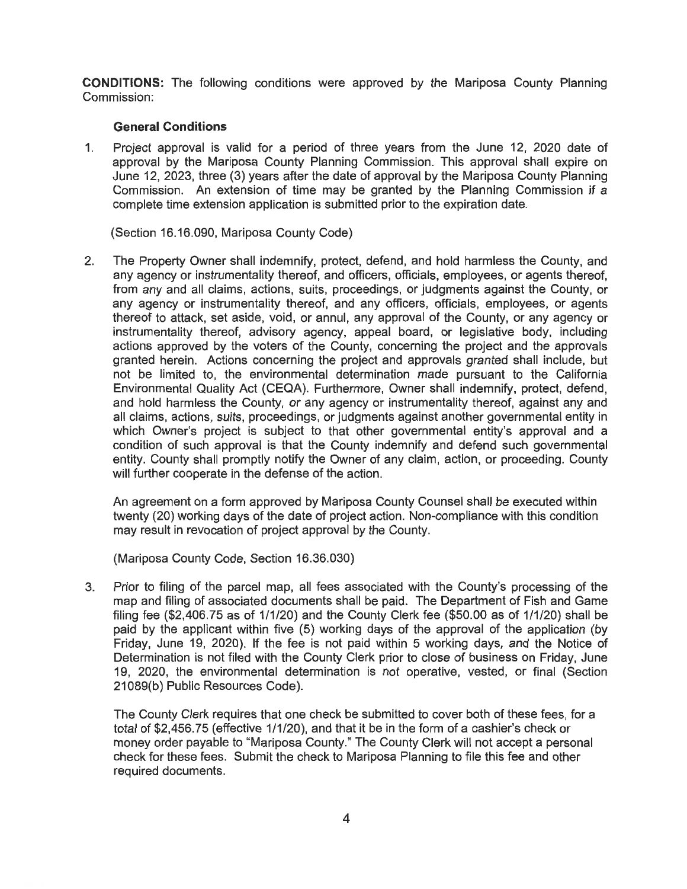**CONDITIONS:** The following conditions were approved by the Mariposa County Planning Commission:

### General Conditions

1. Project approval is valid for a period of three years from the June 12, 2020 date of approval by the Mariposa County Planning Commission. This approval shall expire on June 12, 2023, three (3) years after the date of approval by the Mariposa County Planning Commission. An extension of time may be granted by the Planning Commission if a complete time extension application is submitted prior to the expiration date.

(Section 16.16.090, Mariposa County Code)

2. The Property Owner shall indemnify, protect, defend, and hold harmless the County, and any agency or instrumentality thereof, and officers, officials, employees, or agents thereof, from any and all claims, actions, suits, proceedings, or judgments against the County, or any agency or instrumentality thereof, and any officers, officials, employees, or agents thereof to attack, set aside, void, or annul, any approval of the County, or any agency or instrumentality thereof, advisory agency, appeal board, or legislative body, including actions approved by the voters of the County, concerning the project and the approvals granted herein. Actions concerning the project and approvals granted shall include, but not be limited to. the environmental determination made pursuant to the California Environmental Quality Act (CEQA). Furthermore, Owner shall indemnify, protect, defend, and hold harmless the County, or any agency or instrumentality thereof, against any and all claims, actions, suits, proceedings, or judgments against another governmental entity in which Owner's project is subject to that other governmental entity's approval and a condition of such approval is that the County indemnify and defend such governmental entity. County shall promptly notify the Owner of any claim, action, or proceeding. County will further cooperate in the defense of the action.

An agreement on a form approved by Mariposa County Counsel shall be executed within twenty (20) working days of the date of project action. Non-compliance with this condition may result in revocation of project approval by the County.

(Mariposa County Code, Section 16.36.030)

3. Prior to filing of the parcel map, all fees associated with the County's processing of the map and filing of associated documents shall be paid. The Department of Fish and Game filing fee (\$2,406.75 as of 1/1/20) and the County Clerk fee (\$50.00 as of 1/1/20) shall be paid by the applicant within five (5) working days of the approval of the application (by Friday, June 19, 2020). If the fee is not paid within 5 working days, and the Notice of Determination is not filed with the County Clerk prior to close of business on Friday, June 19, 2020, the environmental determination is not operative, vested, or final (Section 21089(b) Public Resources Code).

The County Clerk requires that one check be submitted to cover both of these fees, for a total of \$2,456.75 (effective 1/1/20), and that it be in the form of a cashier's check or money order payable to "Mariposa County." The County Clerk will not accept a personal check for these fees. Submit the check to Mariposa Planning to file this fee and other required documents.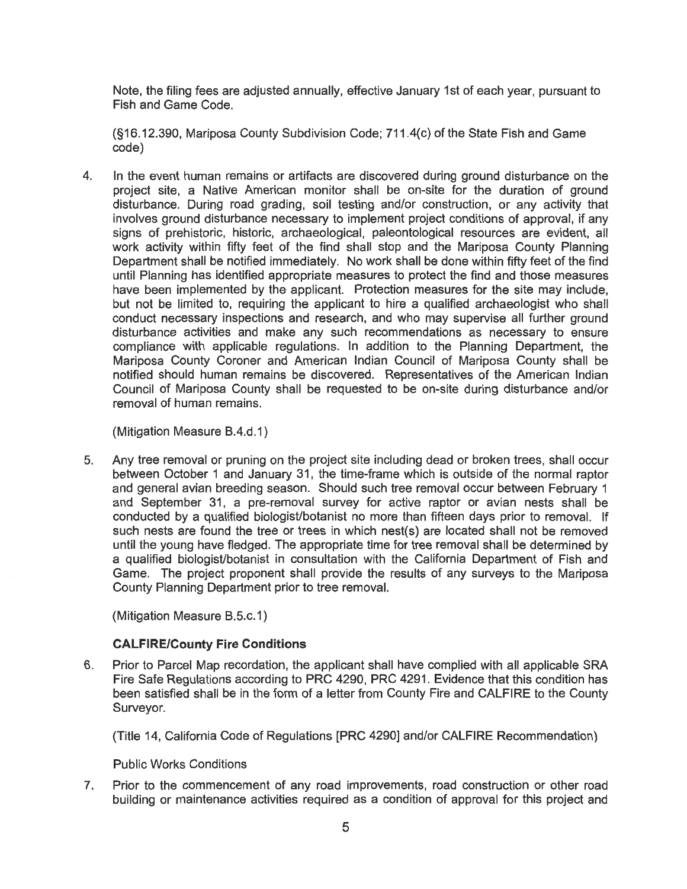Note, the filing fees are **adjusted** annually, effective **January** 1st of each year, pursuant to Fish and Game Code.

(§16.12.390, Mariposa County Subdivision Code; 71 1 .4(c) of the State Fish and Game code)

In the event human remains or artifacts are discovered during ground disturbance on the  $\overline{4}$ project site, a Native American monitor shall be on-site for the duration of ground disturbance. During road grading, soil testing and/or construction, or any activity that involves ground disturbance necessary to implement project conditions of approval, if any signs of prehistoric, historic, archaeological, paleontological resources are evident, all work activity within fifty feet of the find shall step and the Mariposa County Planning Department shall be notified immediately. No work shall be done within fifty feet of the find until Planning has identified appropriate measures to protect the find and those measures have been implemented by the applicant. Protection measures for the site may include, but not be limited to, requiring the applicant to hire a qualified archaeologist who shall conduct necessary inspections and research, and who may supervise all further ground disturbance activities and make any such recommendations as necessary to ensure compliance with applicable regulations. In addition to the Planning Department, the Mariposa County Coroner and American Indian Council of Mariposa County shall be notified should human remains be discovered. Representatives of the American Indian Council of Mariposa County shall be requested to be on-site during disturbance and/or removal of human remains.

(Mitigation Measure B.4.d.1)

5. Any tree removal or pruning on the project site including dead or broken trees, shall occur between October 1 and January 31, the time-frame which is outside of the normal raptor and general avian breeding season. Should such tree removal occur between February 1 and September 31, a pre-removal survey for active raptor or avian nests shall be conducted by a qualified biologist/botanist no more than fifteen days prior to removal. If such nests are found the tree or trees in which nest(s) are located shall not be removed until the young have fledged. The appropriate time for tree removal shall be determined by a qualified biologist/botanist in consultation with the California Department of Fish and Game. The project proponent shall provide the results of any surveys to the Mariposa County Planning Department prior to tree removal.

(Mitigation Measure B.5.c.1)

# **CALFIRE/County Fire Conditions**

Prior to Parcel Map recordation, the applicant shall have complied with all applicable SRA 6. Fire Safe Regulations according to PRC 4290, PRC 4291. Evidence that this condition has been satisfied shall be in the form of a letter from County Fire and CALFIRE to the County Surveyor.

(Title 14, California Code of Regulations [PRC 4290] and/or CALFIRE Recommendation)

Public Works Conditions

Prior to the commencement of any road improvements, road construction or other road  $7.$ building or maintenance activities required as a condition of approval for this project and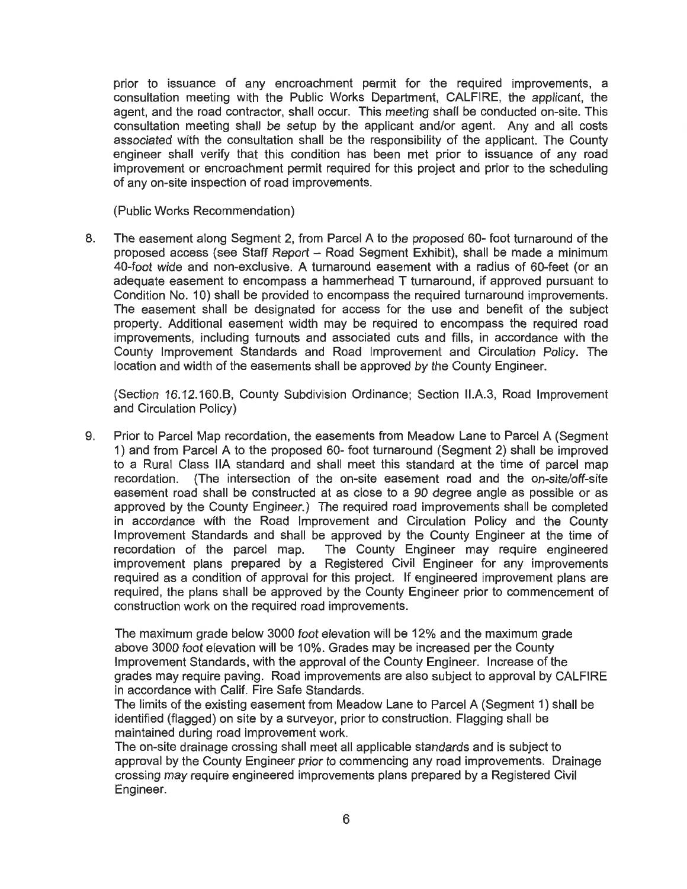prior to issuance of any encroachment permit for the required improvements, a consultation meeting with the Public Works Department, CALFIRE, the applicant, the agent, and the road contractor, shall occur. This meeting shall be conducted on-site. This consultation meeting shall be setup by the applicant and/or agent. Any and all costs associated with the consultation shall be the responsibility of the applicant. The County engineer shall verify that this condition has been met prior to issuance of any road improvement or encroachment permit required for this project and prior to the scheduling of any on-site inspection of road improvements.

(Public Works Recommendation)

The easement along Segment 2, from Parcel A to the proposed 60- foot turnaround of the 8. proposed access (see Staff Report **—** Road Segment Exhibit), shall be made a minimum 40-foot wide and non-exclusive. A turnaround easement with a radius of 60—feet (or an adequate easement to encompass a hammerhead T turnaround, if approved pursuant to Condition No. 10) shall be provided to encompass the required turnaround improvements. The easement shall be designated for access for the use and benefit of the subject property. Additional easement width may be required to encompass the required road improvements, including turnouts and associated cuts and fills, in accordance with the County Improvement Standards and Road Improvement and Circulation Policy. The location and width of the easements shall be approved by the County Engineer.

(Section 16.12.160.B, County Subdivision Ordinance; Section ll.A.3, Road Improvement and Circulation Policy)

9. Prior to Parcel Map recordation, the easements from Meadow Lane to Parcel A (Segment 1) and from Parcel A to the proposed 60- foot turnaround (Segment 2) shall be improved to a Rural Class IIA standard and shall meet this standard at the time of parcel map recordation. (The intersection of the on-site easement road and the on-site/off—site easement road shall be constructed at as close to a 90 degree angle as possible or as approved by the County Engineer.) The required road improvements shall be completed in accordance with the Road Improvement and Circulation Policy and the County Improvement Standards and shall be approved by the County Engineer at the time of recordation of the parcel map. The County Engineer may require engineered improvement plans prepared by a Registered Civil Engineer for any improvements required as a condition of approval for this project. If engineered improvement plans are required, the plans shall be approved by the County Engineer prior to commencement of construction work on the required road improvements.

The maximum grade below 3000 foot elevation will be 12% and the maximum grade above 3000 foot elevation will be 10%. Grades may be increased per the County Improvement Standards, with the approval of the County Engineer. Increase of the grades may require paving. Road improvements are also subject to approval by CALFIRE in accordance with Calif. Fire Safe Standards.

The limits of the existing easement from Meadow Lane to Parcel A (Segment 1) shall be identified (flagged) on site by a surveyor, prior to construction. Flagging shall be maintained during road improvement work.

The on-site drainage crossing shall meet all applicable standards and is subject to approval by the County Engineer prior to commencing any road improvements. Drainage crossing may require engineered improvements plans prepared by a Registered Civil Engineer.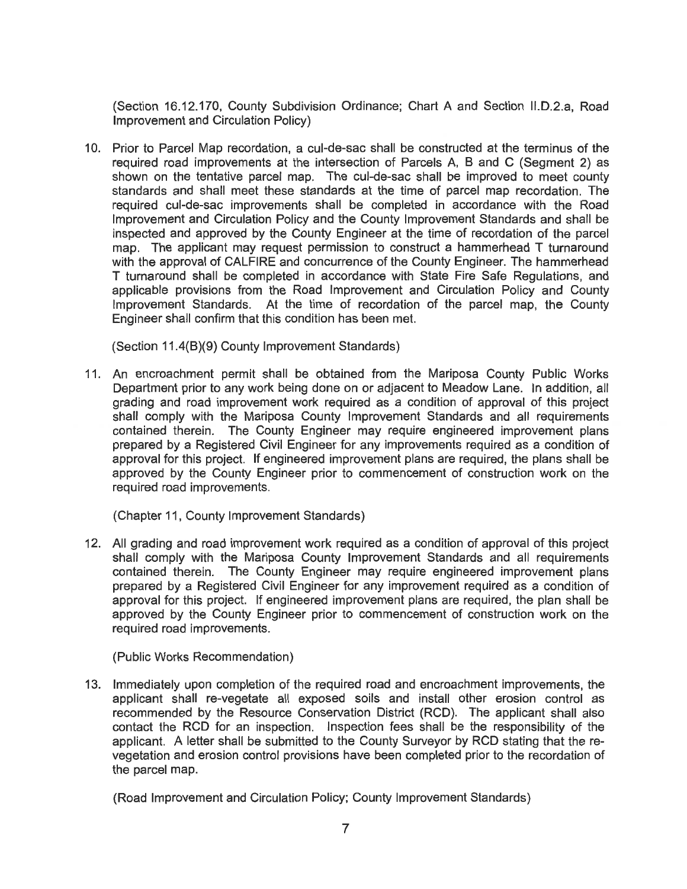(Section 16.12.170, County Subdivision Ordinance; Chart A and Section il.D.2.a, Road Improvement and Circulation Policy)

10. Prior to Parcel Map recordation, a cul-de-sac shall be constructed at the terminus of the required road improvements at the intersection of Parcels A, B and C (Segment 2) as shown on the tentative parcel map. The cul-de-sac shall be improved to meet county standards and shall meet these standards at the time of parcel map recordation. The required cuI-de-sac improvements shall be completed in accordance with the Road Improvement and Circulation Policy and the County Improvement Standards and shall be inspected and approved by the County Engineer at the time of recordation of the parcel map. The applicant may request permission to construct a hammerhead T turnaround with the approval of CALFIRE and concurrence of the County Engineer. The hammerhead T turnaround shall be completed in accordance with State Fire Safe Regulations, and applicable provisions from the Road improvement and Circulation Policy and County Improvement Standards. At the time of recordation of the parcel map, the County Engineer shall confirm that this condition has been met.

(Section 11.4(B)(9) County Improvement Standards)

11. An encroachment permit shall be obtained from the Mariposa County Public Works Department prior to any work being done on or adjacent to Meadow Lane. In addition, all grading and road improvement work required as a condition of approval of this project shall comply with the Mariposa County Improvement Standards and all requirements contained therein. The County Engineer may require engineered improvement plans prepared by a Registered Civil Engineer for any improvements required as a condition of approval for this project. If engineered improvement plans are required, the plans shall be approved by the County Engineer prior to commencement of construction work on the required road improvements.

(Chapter 11, County Improvement Standards)

12. All grading and road improvement work required as a condition of approval of this project shall comply with the Mariposa County Improvement Standards and all requirements contained therein. The County Engineer may require engineered improvement plans prepared by a Registered Civil Engineer for any improvement required as a condition of approval for this project. if engineered improvement plans are required, the plan shall be approved by the County Engineer prior to commencement of construction work on the required road improvements.

(Public Works Recommendation)

13. Immediately upon completion of the required road and encroachment improvements, the applicant shall re-vegetate all exposed soils and install other erosion control as recommended by the Resource Conservation District (RCD). The applicant shall also contact the RCD for an inspection. inspection fees shall be the responsibility of the applicant. A letter shall be submitted to the County Surveyor by RCD stating that the revegetation and erosion control provisions have been completed prior to the recordation of the parcel map.

(Road Improvement and Circulation Policy; County improvement Standards)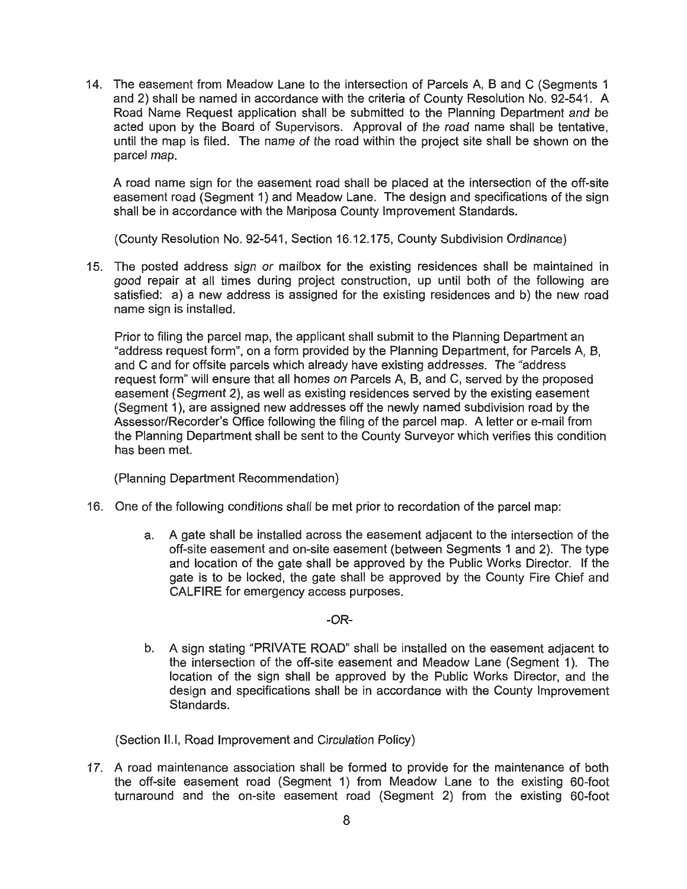14. The easement from Meadow Lane to the intersection of Parcels A, B and **C** (Segments 1 and 2) shall be named in accordance with the criteria of County Resolution No. 92-541. A Road Name Request application shall be submitted to the Planning Department and be acted upon by the Board of Supervisors. Approval of the road name shall be tentative, until the map is filed. The name of the road within the project site shall be shown on the parcel map.

A road name sign for the easement road shall be placed at the intersection of the off-site easement road (Segment 1) and Meadow Lane. The design and specifications of the sign shall be in accordance with the Mariposa County Improvement Standards.

(County Resolution No. 92-541, Section 16.12.175, County Subdivision Ordinance)

15. The posted address sign or mailbox for the existing residences shall be maintained in good repair at all times during project construction, up until both of the following are satisfied: a) a new address is assigned for the existing residences and b) the new road name sign is installed.

Prior to filing the parcel map, the applicant shall submit to the Planning Department an "address request form", on a form provided by the Planning Department, for Parcels A, B, and C and for offsite parcels which already have existing addresses. The "address request form" will ensure that all homes on Parcels A, B, and C, served by the proposed easement (Segment 2). as well as existing residences served by the existing easement (Segment 1), are assigned new addresses off the newly named subdivision road by the Assessor/Recorder's Office following the filing of the parcel map. **A** letter or e-mail from the Planning Department shall be sent to the County Surveyor which verifies this condition has been met.

(Planning Department Recommendation)

- 16. One of the following conditions shall be met prior to recordation of the parcel map:
	- a. **A** gate shall be installed across the easement adjacent to the intersection of the off-site easement and on-site easement (between Segments 1 and 2). The type and location of the gate shall be approved by the Public Works Director. If the gate is to be locked, the gate shall be approved by the County Fire Chief and CALFIRE for emergency access purposes.

-OR—

b. **A** sign stating "PRIVATE ROAD" shall be installed on the easement adjacent to the intersection of the off-site easement and Meadow Lane (Segment 1). The location of the sign shall be approved by the Public Works Director, and the design and specifications shall be in accordance with the County Improvement Standards.

(Section ll.|, Road Improvement and Circulation Policy)

17. **A** road maintenance association shall be formed to provide for the maintenance of both the off-site easement road (Segment 1) from Meadow Lane to the existing 60-foot turnaround and the on-site easement road (Segment 2) from the existing 60-foot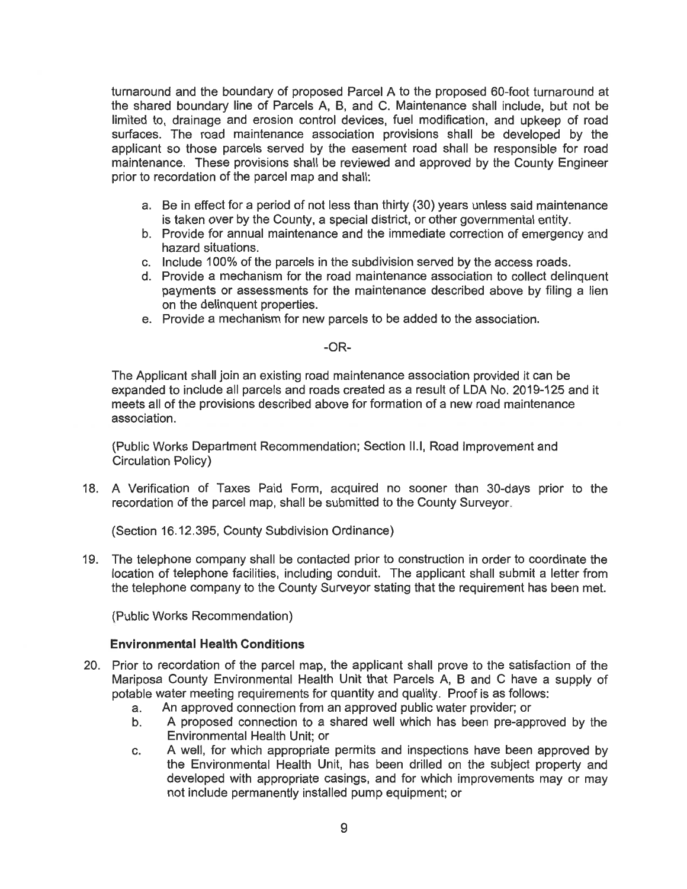turnaround and the boundary of proposed Parcel A to the proposed 60-foot turnaround at the shared boundary line of Parcels A, B, and C. Maintenance shall include, but not be limited to, drainage and erosion control devices, fuel modification, and upkeep of road surfaces. The road maintenance association provisions shall be developed by the applicant so those parcels served by the easement road shall be responsible for road maintenance. These provisions shall be reviewed and approved by the County Engineer prior to recordation of the parcel map and shall: maround and the boundary of proposed Parcel A to the proposed 60-foot the shared boundary line of Parcels A, B, and C. Maintenance shall include tied to, drainge and erosion control devices, fuel modification, and uphorize

- a. Be in effect for a period of not less than thirty (30) years unless said maintenance is taken over by the County, a special district, or other governmental entity.
- b. Provide for annual maintenance and the immediate correction of emergency and hazard situations.
- c. Include 100% of the parcels in the subdivision served by the access roads.
- Provide a mechanism for the road maintenance association to collect delinquent payments or assessments for the maintenance described above by filing a lien on the delinquent properties.<br>e. Provide a mechanism for new parcels to be added to the association.
- 

#### -OR-

The Applicant shall join an existing road maintenance association provided it can be expanded to include all parcels and roads created as a result of LDA No. 2019-125 and it meets all of the provisions described above for formation of a new road maintenance association.

(Public Works Department Recommendation; Section ||.|, Road improvement and Circulation Policy)

18. A Verification of Taxes Paid Form, acquired no sooner than 30—days prior to the recordation of the parcel map, shall be submitted to the County Surveyor.

(Section 16.12.395, County Subdivision Ordinance)

19. The telephone company shall be contacted prior to construction in order to coordinate the location of telephone facilities, including conduit. The applicant shall submit a letter from the telephone company to the County Surveyor stating that the requirement has been met.

(Public Works Recommendation)

#### Environmental Health Conditions

- 20. Prior to recordation of the parcel map, the applicant shall prove to the satisfaction of the Maripcsa County Environmental Health Unit that Parcels A, B and C have a supply of potable water meeting requirements for quantity and quality. Proof is as follows:
	- a. An approved connection from an approved public water provider; or
	- b. A proposed connection to a shared well which has been pre-approved by the Environmental Health Unit; or
	- c. A well, for which appropriate permits and inspections have been approved by the Environmental Health Unit, has been drilled on the subject property and developed with appropriate casings, and for which improvements may or may not include permanently installed pump equipment; or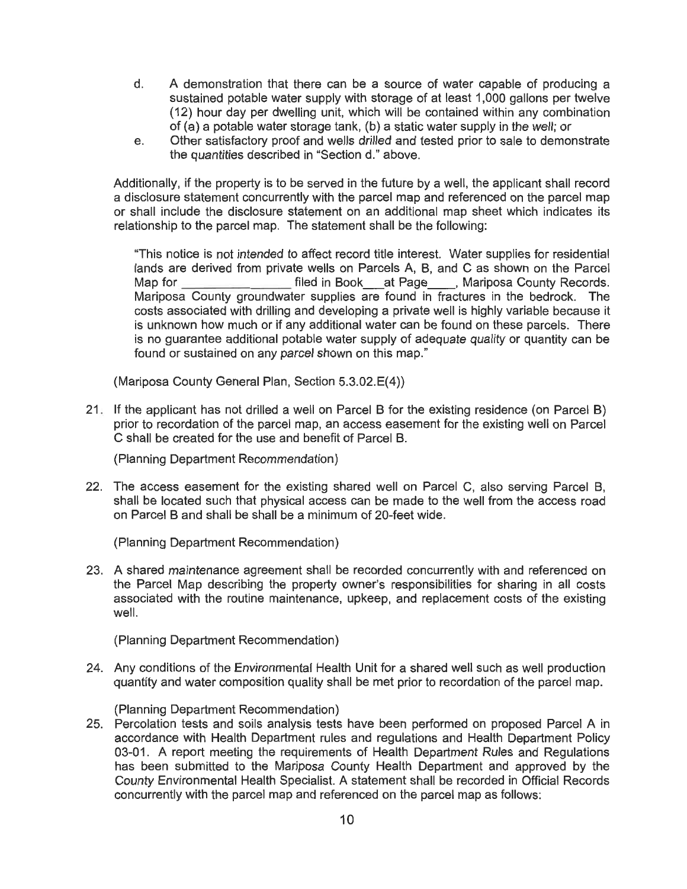- d. A demonstration **that there** can be a source of water capable of producing <sup>a</sup> sustained potable water supply with storage of at least **1,000** gallons per twelve (12) hour day per dwelling unit, which will be contained within any combination of (a) a potable water storage tank, (b) a static water supply in the well; or
- e. Other satisfactory proof and wells drilled and tested prior to sale to demonstrate the quantities described in "Section d." above.

Additionally, if the property is to be served in the future by a well, the applicant shall record a disclosure statement concurrently with the parcel map and referenced on the parcel map or shall include the disclosure statement on an additional map sheet which indicates its relationship to the parcel map. The statement shall be the following:

"This notice is not intended to affect record title interest. Water supplies for residential lands are derived from private wells on Parcels A, B, and **C** as shown on the Parcel Map for **filed in Book** at Page Mariposa County Records. Mariposa County groundwater supplies are found in fractures in the bedrock. The costs associated with drilling and developing a private well is highly variable because it is unknown how much or if any additional water can be found on these parcels. There is no guarantee additional potable water supply of adequate quality or quantity can be found or sustained on any parcel shown on this map."

(Mariposa County General Plan, Section 5.3.02.E(4))

21. If the applicant has not drilled a well on Parcel B for the existing residence (on Parcel B) prior to recordation of the parcel map, an access easement for the existing well on Parcel C shall be created for the use and benefit of Parcel B.

(Planning Department Recommendation)

22. The access easement for the existing shared well on Parcel C, also serving Parcel B, shall be located such that physical access can be made to the well from the access road on Parcel B and shall be shall be a minimum of 20-feet wide.

(Planning Department Recommendation)

A shared maintenance agreement shall be recorded concurrently with and referenced on the Parcel Map describing the property owner's responsibilities for sharing in all costs associated with the routine maintenance, upkeep, and replacement costs of the existing well.

(Planning Department Recommendation)

Any conditions of the Environmental Health Unit for a shared well such as well production quantity and water composition quality shall be met prior to recordation of the parcel map.

(Planning Department Recommendation)

25. Percolation tests and soils analysis tests have been performed on proposed Parcel A in accordance with Health Department rules and regulations and Health Department Policy **03-01.** A report meeting the requirements of Health Department Rules and Regulations has been submitted to the Mariposa County Health Department and approved by the County Environmental Health Specialist. A statement shall be recorded in Official Records concurrently with the parcel map and referenced on the parcel map as follows: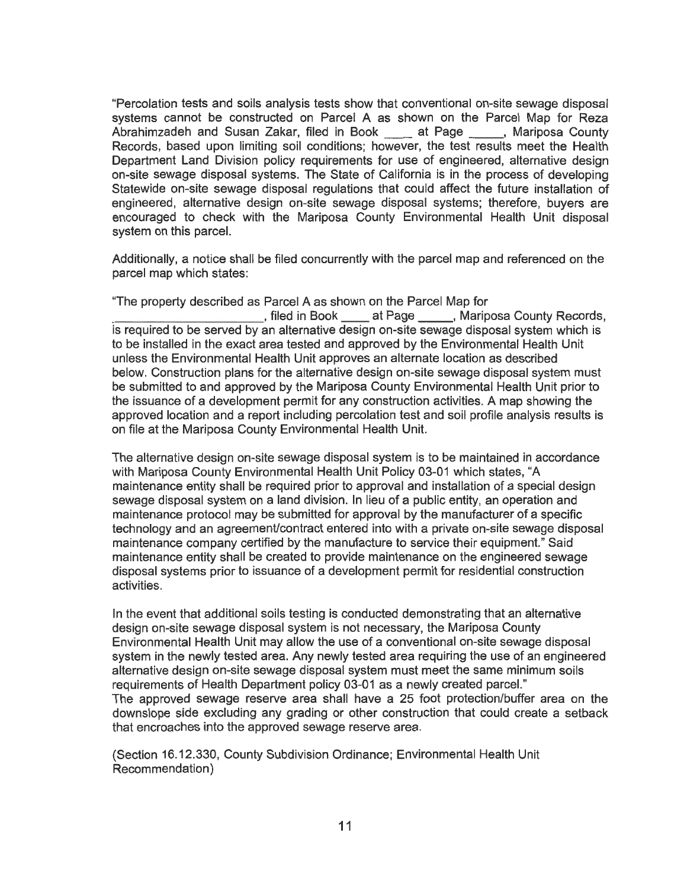"Percolation **tests** and soils analysis **tests show** that conventional on-site sewage disposal systems cannot be constructed on Parcel A as shown on the Parcel Map for Reza Abrahimzadeh and Susan Zakar, filed in Book at Page , Mariposa County Records, based upon limiting soil conditions; however, the test results meet the Health Department Land Division policy requirements for use of engineered, alternative design on-site sewage disposal systems. The State of California is in the process of developing Statewide on-site sewage disposal regulations that could affect the future installation of engineered, alternative design on-site sewage disposal systems; therefore, buyers are encouraged to check with the Mariposa County Environmental Health Unit disposal system on this parcel.

Additionally, a notice shall be filed concurrently with the parcel map and referenced on the parcel map which states:

"The property described as Parcel A as shown on the Parcel Map for stiled in Book <u>etacal at Page state</u>, Mariposa County Records, is required to be served by an alternative design on-site sewage disposal system which is to be installed in the exact area tested and approved by the Environmental Health Unit unless the Environmental Health Unit approves an alternate location as described below. Construction plans for the alternative design on-site sewage disposal system must be submitted to and approved by the Mariposa County Environmental Health Unit prior to the issuance of a development permit for any construction activities. A map showing the approved location and a report including percolation test and soil profile analysis results is on file at the Mariposa County Environmental Health Unit.

The alternative design on-site sewage disposal system is to be maintained in accordance with Mariposa County Environmental Health Unit Policy 03-01 which states, "A maintenance entity shall be required prior to approval and installation of a special design sewage disposal system on a land division. In lieu of a public entity, an operation and maintenance protocol may be submitted for approval by the manufacturer of a specific technology and an agreement/contract entered into with a private on-site sewage disposal maintenance company certified by the manufacture to service their equipment." Said maintenance entity shall be created to provide maintenance on the engineered sewage disposal systems prior to issuance of a development permit for residential construction activities.

In the event that additional soils testing is conducted demonstrating that an alternative design on-site sewage disposal system is not necessary, the Mariposa County Environmental Health Unit may allow the use of a conventional on-site sewage disposal system in the newly tested area. Any newly tested area requiring the use of an engineered alternative design on-site sewage disposal system must meet the same minimum soils requirements of Health Department policy 03-01 as a newly created parcel." The approved sewage reserve area shall have a 25 foot protection/buffer area on the downslope side excluding any grading or other construction that could create a setback that encroaches into the approved sewage reserve area.

(Section 16.12.330, County Subdivision Ordinance; Environmental Health Unit Recommendation)